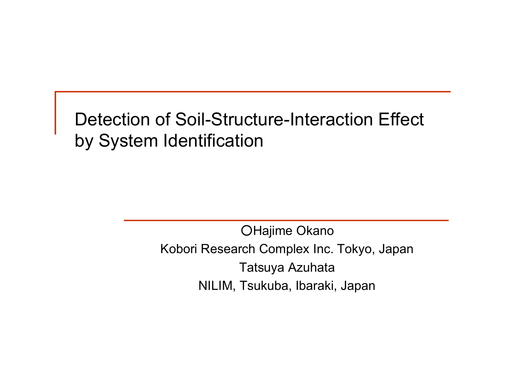Detection of Soil-Structure-Interaction Effect by System Identification

> OHajime Okano Kobori Research Complex Inc. Tokyo, Japan Tatsuya Azuhata NILIM, Tsukuba, Ibaraki, Japan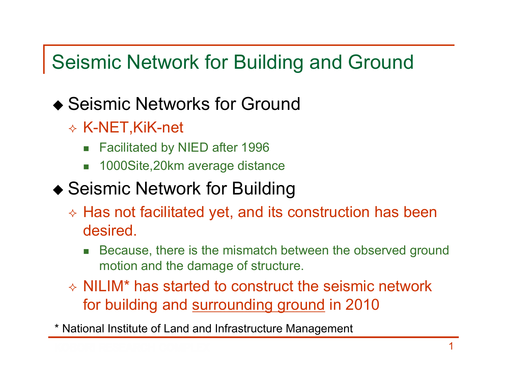### Seismic Network for Building and Ground

#### ◆ Seismic Networks for Ground

- $\diamond$  K-NET,KiK-net
	- $\mathcal{L}_{\rm{max}}$ Facilitated by NIED after 1996
	- F 1000Site,20km average distance

#### ◆ Seismic Network for Building

- $\diamond$  Has not facilitated yet, and its construction has been desired.
	- П Because, there is the mismatch between the observed ground motion and the damage of structure.
- $\Diamond$  NILIM\* has started to construct the seismic network for building and surrounding ground in 2010

\* National Institute of Land and Infrastructure Management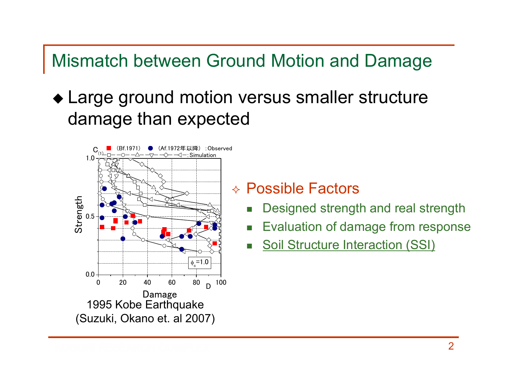#### Mismatch between Ground Motion and Damage

 Large ground motion versus smaller structure damage than expected



Possible Factors

- П Designed strength and real strength
- П Evaluation of damage from response
- П Soil Structure Interaction (SSI)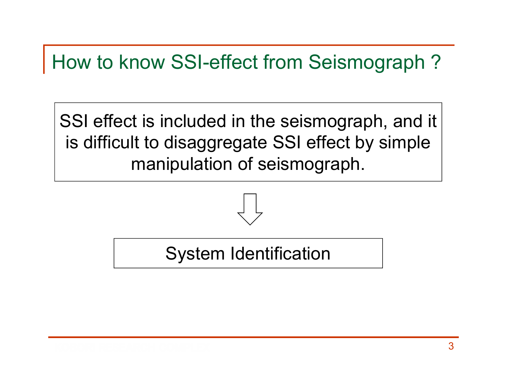## How to know SSI-effect from Seismograph ?

SSI effect is included in the seismograph, and it is difficult to disaggregate SSI effect by simple manipulation of seismograph.



#### System Identification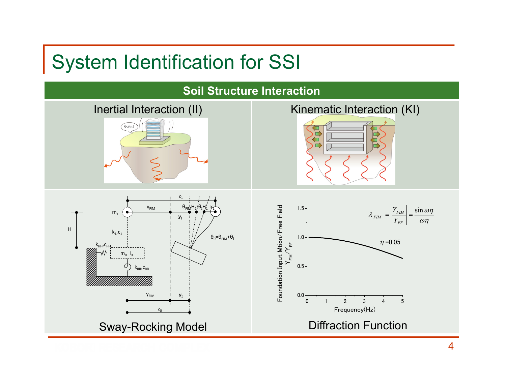# System Identification for SSI

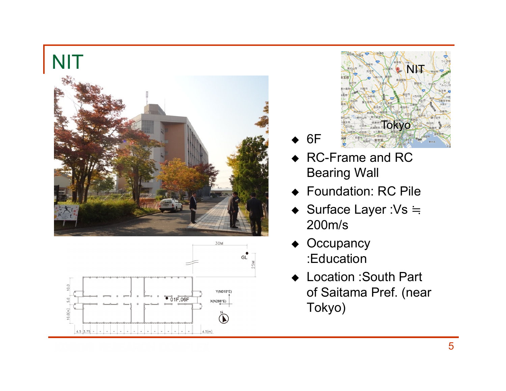



- ♦ 6F
- ◆ RC-Frame and RC Bearing Wall
- ♦ Foundation: RC Pile

**TOKYO** 

NE

- ◆ Surface Layer :Vs ≒ 200m/s
- ♦ **Occupancy** :Education
- ♦ Location :South Part of Saitama Pref. (near Tokyo)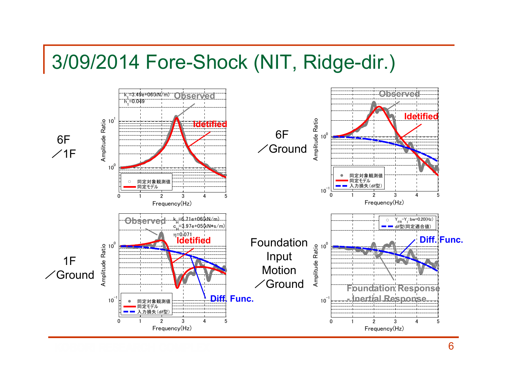#### 3/09/2014 Fore-Shock (NIT, Ridge-dir.)

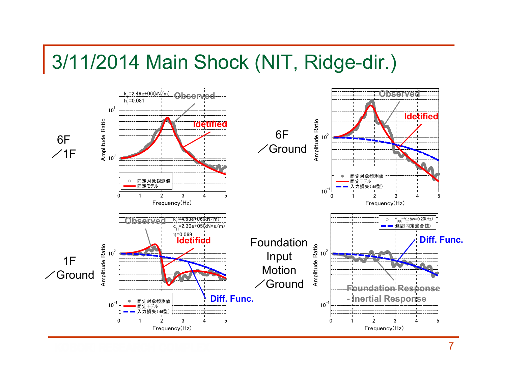#### 3/11/2014 Main Shock (NIT, Ridge-dir.)



7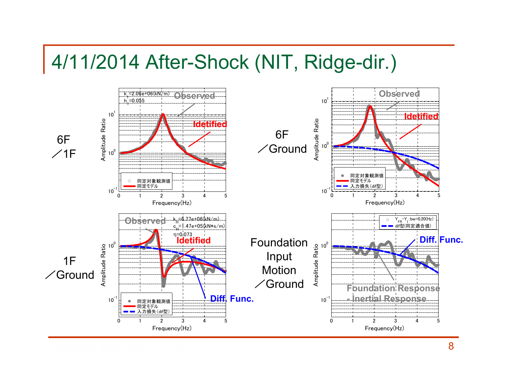#### 4/11/2014 After-Shock (NIT, Ridge-dir.)

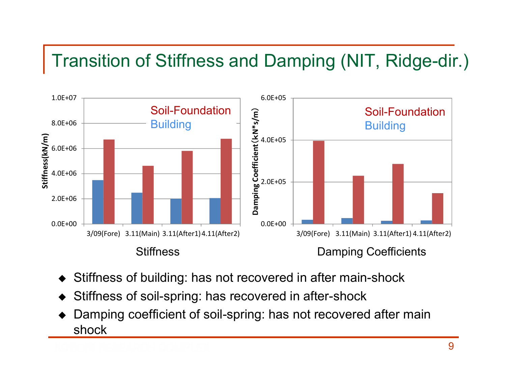#### Transition of Stiffness and Damping (NIT, Ridge-dir.)



- ♦ Stiffness of building: has not recovered in after main-shock
- ♦ Stiffness of soil-spring: has recovered in after-shock
- ♦ Damping coefficient of soil-spring: has not recovered after main shock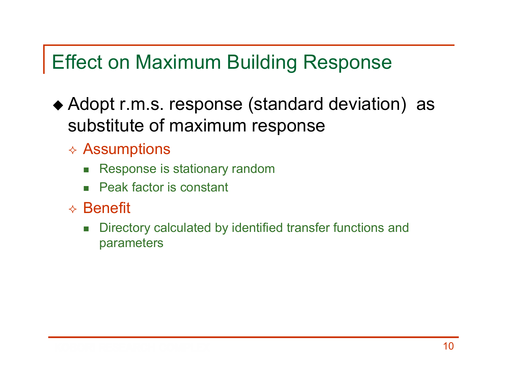# Effect on Maximum Building Response

- Adopt r.m.s. response (standard deviation) as substitute of maximum response
	- $\diamond$  Assumptions
		- $\mathcal{L}_{\mathcal{A}}$ Response is stationary random
		- П Peak factor is constant
	- $\diamond$  Benefit
		- $\mathcal{C}^{\mathcal{A}}$  Directory calculated by identified transfer functions and parameters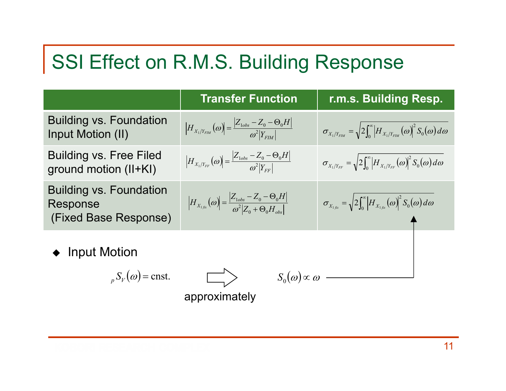# SSI Effect on R.M.S. Building Response

|                                                                     | <b>Transfer Function</b>                                                                                                                           | r.m.s. Building Resp.                                                                                                    |
|---------------------------------------------------------------------|----------------------------------------------------------------------------------------------------------------------------------------------------|--------------------------------------------------------------------------------------------------------------------------|
| <b>Building vs. Foundation</b><br>Input Motion (II)                 | $\left H_{X_1/Y_{FIM}}(\omega)\right  = \frac{\left Z_{\text{loss}} - Z_0 - \Theta_0 H\right }{\omega^2  Y_{FIM} }.$                               | $\sigma_{X_1/Y_{FIM}} = \sqrt{2 \int_0^{\infty}} \left  H_{X_1/Y_{FIM}}(\omega) \right ^2 S_0(\omega) d\omega$           |
| <b>Building vs. Free Filed</b><br>ground motion (II+KI)             | $\left H_{X_1/Y_{FF}}(\omega)\right  = \frac{ Z_{\text{loss}} - Z_0 - \Theta_0 H }{\omega^2  Y_{EF} }$                                             | $\sigma_{X_1/Y_{FF}} = \sqrt{2 \int_0^{\infty} \left  H_{X_1/Y_{FF}}(\omega) \right ^2 S_0(\omega) d\omega}$             |
| <b>Building vs. Foundation</b><br>Response<br>(Fixed Base Response) | $\left H_{X_{1,\text{fix}}}(\omega)\right  = \frac{\left Z_{1obs} - Z_0 - \Theta_0 H\right }{\omega^2 \left Z_0 + \Theta_0 H_{\text{aux}}\right }$ | $\sigma_{X_{1,\text{fix}}} = \sqrt{2 \int_0^{\infty} \left  H_{X_{1,\text{fix}}}(\omega) \right ^2 S_0(\omega) d\omega}$ |
| <b>Input Motion</b>                                                 |                                                                                                                                                    |                                                                                                                          |
| $S_V(\omega)$ = cnst.                                               | $S_0(\omega) \propto \omega$                                                                                                                       |                                                                                                                          |

approximately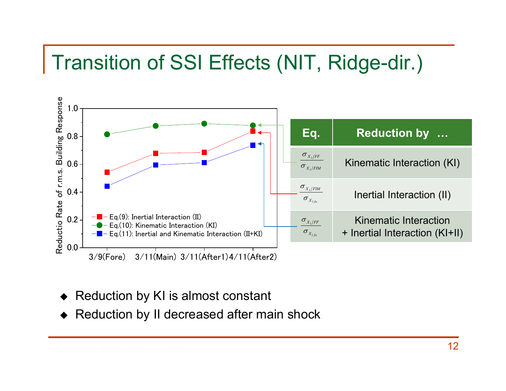# Transition of SSI Effects (NIT, Ridge-dir.)



- ♦ Reduction by KI is almost constant
- ◆ Reduction by II decreased after main shock